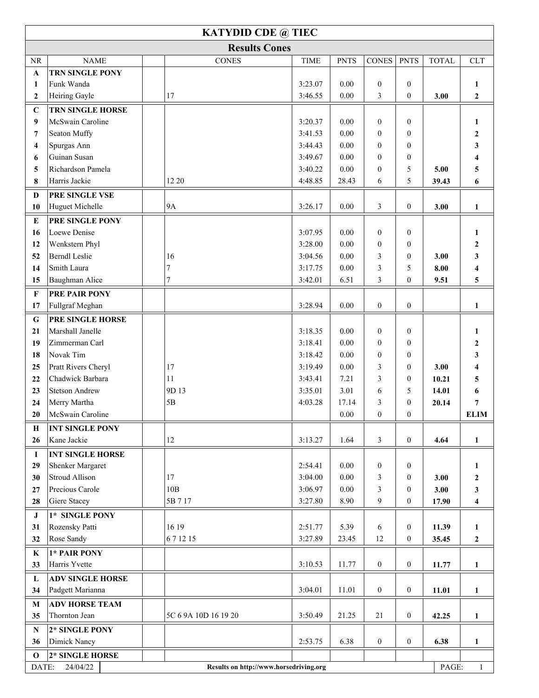| <b>KATYDID CDE @ TIEC</b> |                                                                                      |                      |             |             |                  |                  |              |                         |  |  |  |  |
|---------------------------|--------------------------------------------------------------------------------------|----------------------|-------------|-------------|------------------|------------------|--------------|-------------------------|--|--|--|--|
| <b>Results Cones</b>      |                                                                                      |                      |             |             |                  |                  |              |                         |  |  |  |  |
| NR                        | <b>NAME</b>                                                                          | <b>CONES</b>         | <b>TIME</b> | <b>PNTS</b> | <b>CONES</b>     | <b>PNTS</b>      | <b>TOTAL</b> | <b>CLT</b>              |  |  |  |  |
| $\mathbf A$               | <b>TRN SINGLE PONY</b>                                                               |                      |             |             |                  |                  |              |                         |  |  |  |  |
| 1                         | Funk Wanda                                                                           |                      | 3:23.07     | 0.00        | $\mathbf{0}$     | $\overline{0}$   |              | 1                       |  |  |  |  |
| $\mathbf{2}$              | Heiring Gayle                                                                        | 17                   | 3:46.55     | 0.00        | 3                | $\mathbf{0}$     | 3.00         | $\boldsymbol{2}$        |  |  |  |  |
| $\mathbf C$               | TRN SINGLE HORSE                                                                     |                      |             |             |                  |                  |              |                         |  |  |  |  |
| $\boldsymbol{9}$          | McSwain Caroline                                                                     |                      | 3:20.37     | 0.00        | $\mathbf{0}$     | $\boldsymbol{0}$ |              | 1                       |  |  |  |  |
| $\overline{7}$            | Seaton Muffy                                                                         |                      | 3:41.53     | 0.00        | $\overline{0}$   | $\theta$         |              | $\boldsymbol{2}$        |  |  |  |  |
| 4                         | Spurgas Ann                                                                          |                      | 3:44.43     | 0.00        | $\overline{0}$   | $\theta$         |              | $\mathbf{3}$            |  |  |  |  |
| 6                         | Guinan Susan                                                                         |                      | 3:49.67     | 0.00        | $\mathbf{0}$     | $\overline{0}$   |              | $\overline{\mathbf{4}}$ |  |  |  |  |
| 5                         | Richardson Pamela                                                                    |                      | 3:40.22     | 0.00        | $\boldsymbol{0}$ | 5                | 5.00         | 5                       |  |  |  |  |
| 8                         | Harris Jackie                                                                        | 12 20                | 4:48.85     | 28.43       | 6                | 5                | 39.43        | 6                       |  |  |  |  |
| $\mathbf D$               | PRE SINGLE VSE                                                                       |                      |             |             |                  |                  |              |                         |  |  |  |  |
| 10                        | Huguet Michelle                                                                      | <b>9A</b>            | 3:26.17     | 0.00        | 3                | $\mathbf{0}$     | 3.00         | 1                       |  |  |  |  |
| E                         | PRE SINGLE PONY                                                                      |                      |             |             |                  |                  |              |                         |  |  |  |  |
| 16                        | Loewe Denise                                                                         |                      | 3:07.95     | 0.00        | $\mathbf{0}$     | $\overline{0}$   |              | 1                       |  |  |  |  |
| 12                        | Wenkstern Phyl                                                                       |                      | 3:28.00     | 0.00        | $\overline{0}$   | $\overline{0}$   |              | $\boldsymbol{2}$        |  |  |  |  |
| 52                        | <b>Berndl Leslie</b>                                                                 | 16                   | 3:04.56     | $0.00\,$    | 3                | $\mathbf{0}$     | 3.00         | 3                       |  |  |  |  |
| 14                        | Smith Laura                                                                          | 7                    | 3:17.75     | 0.00        | 3                | 5                | 8.00         | 4                       |  |  |  |  |
| 15                        | Baughman Alice                                                                       | 7                    | 3:42.01     | 6.51        | 3                | $\mathbf{0}$     | 9.51         | 5                       |  |  |  |  |
| $\mathbf{F}$              | PRE PAIR PONY                                                                        |                      |             |             |                  |                  |              |                         |  |  |  |  |
| 17                        | Fullgraf Meghan                                                                      |                      | 3:28.94     | 0.00        | $\boldsymbol{0}$ | $\boldsymbol{0}$ |              | $\mathbf{1}$            |  |  |  |  |
| G                         | PRE SINGLE HORSE                                                                     |                      |             |             |                  |                  |              |                         |  |  |  |  |
| 21                        | Marshall Janelle                                                                     |                      | 3:18.35     | 0.00        | $\mathbf{0}$     | $\mathbf{0}$     |              | 1                       |  |  |  |  |
| 19                        | Zimmerman Carl                                                                       |                      | 3:18.41     | 0.00        | $\mathbf{0}$     | $\overline{0}$   |              | $\boldsymbol{2}$        |  |  |  |  |
| 18                        | Novak Tim                                                                            |                      | 3:18.42     | 0.00        | $\boldsymbol{0}$ | $\theta$         |              | 3                       |  |  |  |  |
| 25                        | Pratt Rivers Cheryl                                                                  | 17                   | 3:19.49     | 0.00        | 3                | $\theta$         | 3.00         | 4                       |  |  |  |  |
| 22                        | Chadwick Barbara                                                                     | 11                   | 3:43.41     | 7.21        | 3                | $\theta$         | 10.21        | 5                       |  |  |  |  |
| 23                        | <b>Stetson Andrew</b>                                                                | 9D 13                | 3:35.01     | 3.01        | 6                | 5                | 14.01        | 6                       |  |  |  |  |
| 24                        | Merry Martha                                                                         | 5B                   | 4:03.28     | 17.14       | 3                | $\theta$         | 20.14        | 7                       |  |  |  |  |
| 20                        | McSwain Caroline                                                                     |                      |             | 0.00        | $\theta$         | $\theta$         |              | <b>ELIM</b>             |  |  |  |  |
| Н                         | <b>INT SINGLE PONY</b>                                                               |                      |             |             |                  |                  |              |                         |  |  |  |  |
| 26                        | Kane Jackie                                                                          | 12                   | 3:13.27     | 1.64        | 3                | $\boldsymbol{0}$ | 4.64         | $\mathbf{1}$            |  |  |  |  |
| $\bf{I}$                  | <b>INT SINGLE HORSE</b>                                                              |                      |             |             |                  |                  |              |                         |  |  |  |  |
| 29                        | Shenker Margaret                                                                     |                      | 2:54.41     | 0.00        | $\mathbf{0}$     | $\mathbf{0}$     |              | 1                       |  |  |  |  |
| 30                        | Stroud Allison                                                                       | 17                   | 3:04.00     | 0.00        | 3                | $\mathbf{0}$     | 3.00         | $\boldsymbol{2}$        |  |  |  |  |
| 27                        | Precious Carole                                                                      | 10B                  | 3:06.97     | 0.00        | 3                | $\overline{0}$   | 3.00         | 3                       |  |  |  |  |
| 28                        | Giere Stacey                                                                         | 5B 7 17              | 3:27.80     | 8.90        | 9                | $\boldsymbol{0}$ | 17.90        | $\overline{\mathbf{4}}$ |  |  |  |  |
| ${\bf J}$                 | 1* SINGLE PONY                                                                       |                      |             |             |                  |                  |              |                         |  |  |  |  |
| 31                        | Rozensky Patti                                                                       | 16 19                | 2:51.77     | 5.39        | 6                | $\overline{0}$   | 11.39        | 1                       |  |  |  |  |
| 32                        | Rose Sandy                                                                           | 671215               | 3:27.89     | 23.45       | 12               | $\boldsymbol{0}$ | 35.45        | $\boldsymbol{2}$        |  |  |  |  |
| K                         | 1* PAIR PONY                                                                         |                      |             |             |                  |                  |              |                         |  |  |  |  |
| 33                        | Harris Yvette                                                                        |                      | 3:10.53     | 11.77       | $\boldsymbol{0}$ | $\boldsymbol{0}$ | 11.77        | $\mathbf{1}$            |  |  |  |  |
| L                         | <b>ADV SINGLE HORSE</b>                                                              |                      |             |             |                  |                  |              |                         |  |  |  |  |
| 34                        | Padgett Marianna                                                                     |                      | 3:04.01     | 11.01       | $\boldsymbol{0}$ | $\boldsymbol{0}$ | 11.01        | $\mathbf{1}$            |  |  |  |  |
| $\mathbf{M}$              | <b>ADV HORSE TEAM</b>                                                                |                      |             |             |                  |                  |              |                         |  |  |  |  |
| 35                        | Thornton Jean                                                                        | 5C 6 9A 10D 16 19 20 | 3:50.49     | 21.25       | $21\,$           | $\boldsymbol{0}$ | 42.25        | $\mathbf{1}$            |  |  |  |  |
| ${\bf N}$                 | 2* SINGLE PONY                                                                       |                      |             |             |                  |                  |              |                         |  |  |  |  |
| 36                        | Dimick Nancy                                                                         |                      | 2:53.75     | 6.38        | $\boldsymbol{0}$ | $\boldsymbol{0}$ | 6.38         | 1                       |  |  |  |  |
| $\mathbf 0$               | 2* SINGLE HORSE                                                                      |                      |             |             |                  |                  |              |                         |  |  |  |  |
|                           | DATE:<br>24/04/22<br>PAGE:<br>$\mathbf{1}$<br>Results on http://www.horsedriving.org |                      |             |             |                  |                  |              |                         |  |  |  |  |